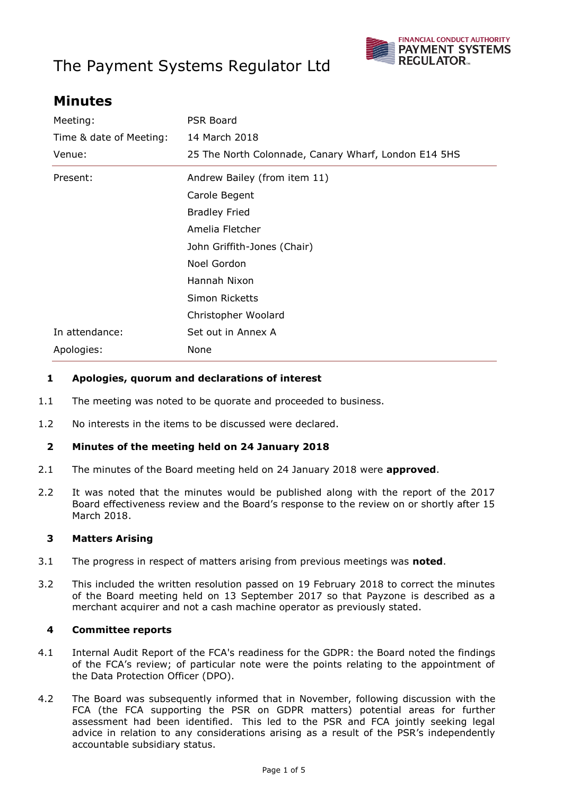# The Payment Systems Regulator Ltd



# **Minutes**

| <b>PSR Board</b>                                     |  |
|------------------------------------------------------|--|
| 14 March 2018                                        |  |
| 25 The North Colonnade, Canary Wharf, London E14 5HS |  |
| Andrew Bailey (from item 11)                         |  |
| Carole Begent                                        |  |
| <b>Bradley Fried</b>                                 |  |
| Amelia Fletcher                                      |  |
| John Griffith-Jones (Chair)                          |  |
| Noel Gordon                                          |  |
| Hannah Nixon                                         |  |
| Simon Ricketts                                       |  |
| Christopher Woolard                                  |  |
| Set out in Annex A                                   |  |
| None                                                 |  |
|                                                      |  |

#### **1 Apologies, quorum and declarations of interest**

- 1.1 The meeting was noted to be quorate and proceeded to business.
- 1.2 No interests in the items to be discussed were declared.

#### **2 Minutes of the meeting held on 24 January 2018**

- 2.1 The minutes of the Board meeting held on 24 January 2018 were **approved**.
- 2.2 It was noted that the minutes would be published along with the report of the 2017 Board effectiveness review and the Board's response to the review on or shortly after 15 March 2018.

#### **3 Matters Arising**

- 3.1 The progress in respect of matters arising from previous meetings was **noted**.
- 3.2 This included the written resolution passed on 19 February 2018 to correct the minutes of the Board meeting held on 13 September 2017 so that Payzone is described as a merchant acquirer and not a cash machine operator as previously stated.

#### **4 Committee reports**

- 4.1 Internal Audit Report of the FCA's readiness for the GDPR: the Board noted the findings of the FCA's review; of particular note were the points relating to the appointment of the Data Protection Officer (DPO).
- 4.2 The Board was subsequently informed that in November, following discussion with the FCA (the FCA supporting the PSR on GDPR matters) potential areas for further assessment had been identified. This led to the PSR and FCA jointly seeking legal advice in relation to any considerations arising as a result of the PSR's independently accountable subsidiary status.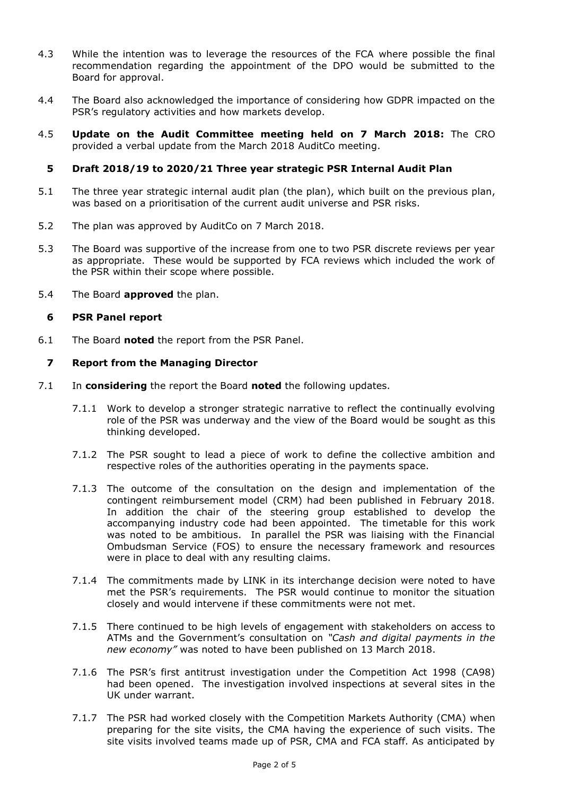- 4.3 While the intention was to leverage the resources of the FCA where possible the final recommendation regarding the appointment of the DPO would be submitted to the Board for approval.
- 4.4 The Board also acknowledged the importance of considering how GDPR impacted on the PSR's regulatory activities and how markets develop.
- 4.5 **Update on the Audit Committee meeting held on 7 March 2018:** The CRO provided a verbal update from the March 2018 AuditCo meeting.

#### **5 Draft 2018/19 to 2020/21 Three year strategic PSR Internal Audit Plan**

- 5.1 The three year strategic internal audit plan (the plan), which built on the previous plan, was based on a prioritisation of the current audit universe and PSR risks.
- 5.2 The plan was approved by AuditCo on 7 March 2018.
- 5.3 The Board was supportive of the increase from one to two PSR discrete reviews per year as appropriate. These would be supported by FCA reviews which included the work of the PSR within their scope where possible.
- 5.4 The Board **approved** the plan.

#### **6 PSR Panel report**

6.1 The Board **noted** the report from the PSR Panel.

#### **7 Report from the Managing Director**

- 7.1 In **considering** the report the Board **noted** the following updates.
	- 7.1.1 Work to develop a stronger strategic narrative to reflect the continually evolving role of the PSR was underway and the view of the Board would be sought as this thinking developed.
	- 7.1.2 The PSR sought to lead a piece of work to define the collective ambition and respective roles of the authorities operating in the payments space.
	- 7.1.3 The outcome of the consultation on the design and implementation of the contingent reimbursement model (CRM) had been published in February 2018. In addition the chair of the steering group established to develop the accompanying industry code had been appointed. The timetable for this work was noted to be ambitious. In parallel the PSR was liaising with the Financial Ombudsman Service (FOS) to ensure the necessary framework and resources were in place to deal with any resulting claims.
	- 7.1.4 The commitments made by LINK in its interchange decision were noted to have met the PSR's requirements. The PSR would continue to monitor the situation closely and would intervene if these commitments were not met.
	- 7.1.5 There continued to be high levels of engagement with stakeholders on access to ATMs and the Government's consultation on *"Cash and digital payments in the new economy"* was noted to have been published on 13 March 2018.
	- 7.1.6 The PSR's first antitrust investigation under the Competition Act 1998 (CA98) had been opened. The investigation involved inspections at several sites in the UK under warrant.
	- 7.1.7 The PSR had worked closely with the Competition Markets Authority (CMA) when preparing for the site visits, the CMA having the experience of such visits. The site visits involved teams made up of PSR, CMA and FCA staff. As anticipated by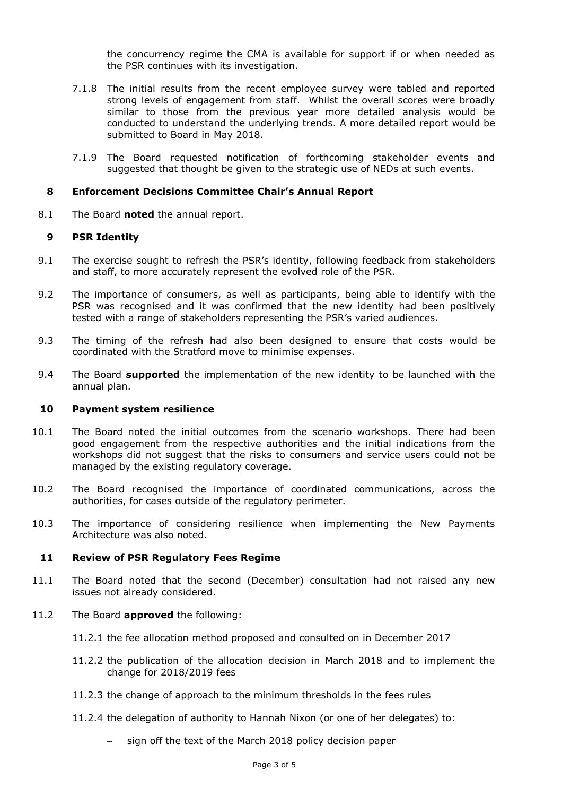the concurrency regime the CMA is available for support if or when needed as the PSR continues with its investigation.

- 7.1.8 The initial results from the recent employee survey were tabled and reported strong levels of engagement from staff. Whilst the overall scores were broadly similar to those from the previous year more detailed analysis would be conducted to understand the underlying trends. A more detailed report would be submitted to Board in May 2018.
- 7.1.9 The Board requested notification of forthcoming stakeholder events and suggested that thought be given to the strategic use of NEDs at such events.

#### **8 Enforcement Decisions Committee Chair's Annual Report**

8.1 The Board **noted** the annual report.

#### **9 PSR Identity**

- 9.1 The exercise sought to refresh the PSR's identity, following feedback from stakeholders and staff, to more accurately represent the evolved role of the PSR.
- 9.2 The importance of consumers, as well as participants, being able to identify with the PSR was recognised and it was confirmed that the new identity had been positively tested with a range of stakeholders representing the PSR's varied audiences.
- 9.3 The timing of the refresh had also been designed to ensure that costs would be coordinated with the Stratford move to minimise expenses.
- 9.4 The Board **supported** the implementation of the new identity to be launched with the annual plan.

#### **10 Payment system resilience**

- 10.1 The Board noted the initial outcomes from the scenario workshops. There had been good engagement from the respective authorities and the initial indications from the workshops did not suggest that the risks to consumers and service users could not be managed by the existing regulatory coverage.
- 10.2 The Board recognised the importance of coordinated communications, across the authorities, for cases outside of the regulatory perimeter.
- 10.3 The importance of considering resilience when implementing the New Payments Architecture was also noted.

#### **11 Review of PSR Regulatory Fees Regime**

- 11.1 The Board noted that the second (December) consultation had not raised any new issues not already considered.
- 11.2 The Board **approved** the following:
	- 11.2.1 the fee allocation method proposed and consulted on in December 2017
	- 11.2.2 the publication of the allocation decision in March 2018 and to implement the change for 2018/2019 fees
	- 11.2.3 the change of approach to the minimum thresholds in the fees rules
	- 11.2.4 the delegation of authority to Hannah Nixon (or one of her delegates) to:
		- sign off the text of the March 2018 policy decision paper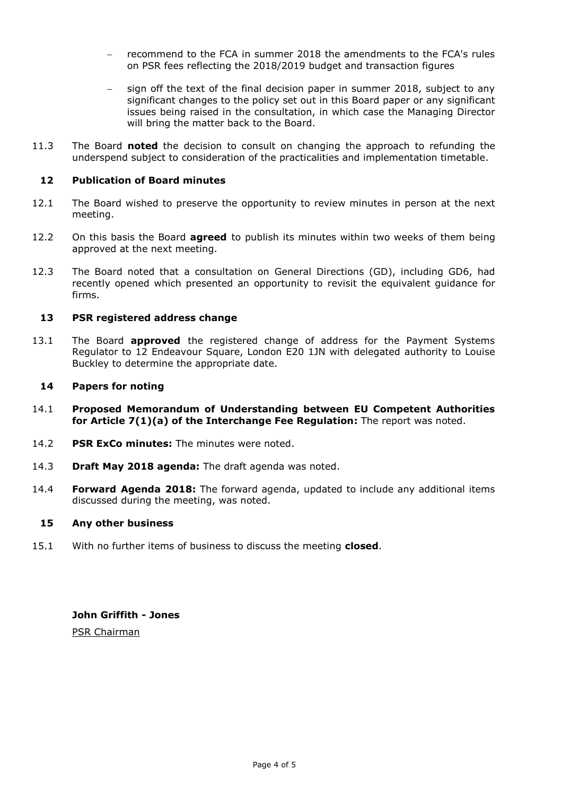- recommend to the FCA in summer 2018 the amendments to the FCA's rules on PSR fees reflecting the 2018/2019 budget and transaction figures
- sign off the text of the final decision paper in summer 2018, subject to any significant changes to the policy set out in this Board paper or any significant issues being raised in the consultation, in which case the Managing Director will bring the matter back to the Board.
- 11.3 The Board **noted** the decision to consult on changing the approach to refunding the underspend subject to consideration of the practicalities and implementation timetable.

#### **12 Publication of Board minutes**

- 12.1 The Board wished to preserve the opportunity to review minutes in person at the next meeting.
- 12.2 On this basis the Board **agreed** to publish its minutes within two weeks of them being approved at the next meeting.
- 12.3 The Board noted that a consultation on General Directions (GD), including GD6, had recently opened which presented an opportunity to revisit the equivalent guidance for firms.

#### **13 PSR registered address change**

13.1 The Board **approved** the registered change of address for the Payment Systems Regulator to 12 Endeavour Square, London E20 1JN with delegated authority to Louise Buckley to determine the appropriate date.

#### **14 Papers for noting**

- 14.1 **Proposed Memorandum of Understanding between EU Competent Authorities for Article 7(1)(a) of the Interchange Fee Regulation:** The report was noted.
- 14.2 **PSR ExCo minutes:** The minutes were noted.
- 14.3 **Draft May 2018 agenda:** The draft agenda was noted.
- 14.4 **Forward Agenda 2018:** The forward agenda, updated to include any additional items discussed during the meeting, was noted.

#### **15 Any other business**

15.1 With no further items of business to discuss the meeting **closed**.

**John Griffith - Jones**

PSR Chairman